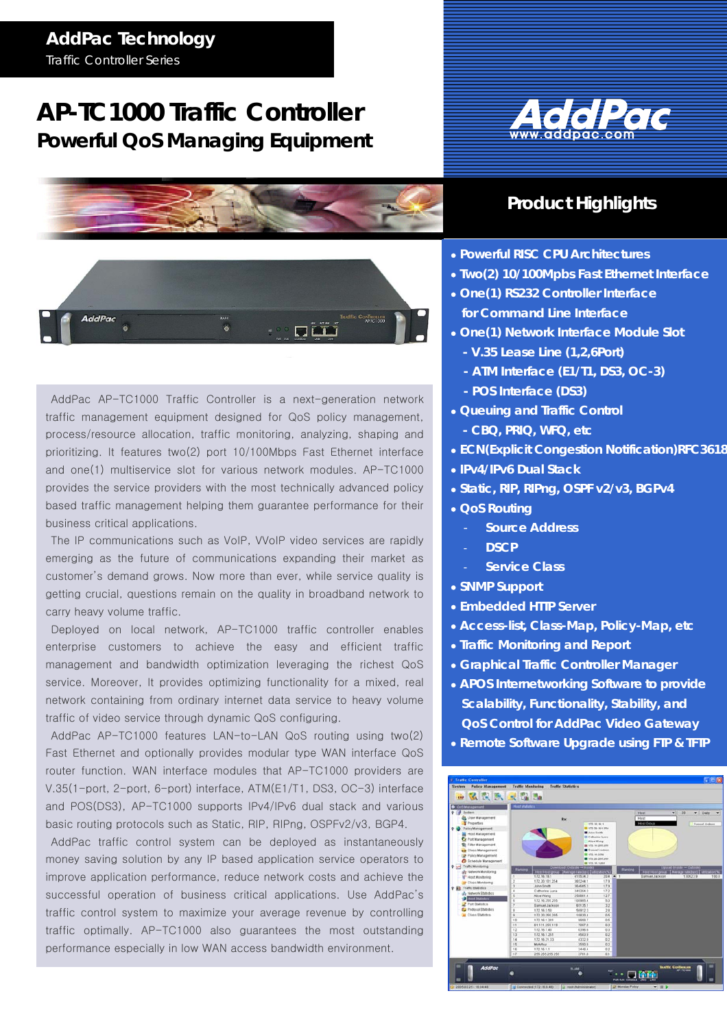## **AddPac Technology**

*Traffic Controller Series* 

# **AP-TC1000 Traffic Controller Powerful QoS Managing Equipment**







AddPac AP-TC1000 Traffic Controller is a next-generation network traffic management equipment designed for QoS policy management, process/resource allocation, traffic monitoring, analyzing, shaping and prioritizing. It features two(2) port 10/100Mbps Fast Ethernet interface and one(1) multiservice slot for various network modules. AP-TC1000 provides the service providers with the most technically advanced policy based traffic management helping them guarantee performance for their business critical applications.

The IP communications such as VoIP, VVoIP video services are rapidly emerging as the future of communications expanding their market as customer's demand grows. Now more than ever, while service quality is getting crucial, questions remain on the quality in broadband network to carry heavy volume traffic.

Deployed on local network, AP-TC1000 traffic controller enables enterprise customers to achieve the easy and efficient traffic management and bandwidth optimization leveraging the richest QoS service. Moreover, It provides optimizing functionality for a mixed, real network containing from ordinary internet data service to heavy volume traffic of video service through dynamic QoS configuring.

AddPac AP-TC1000 features LAN-to-LAN QoS routing using two(2) Fast Ethernet and optionally provides modular type WAN interface QoS router function. WAN interface modules that AP-TC1000 providers are V.35(1-port, 2-port, 6-port) interface, ATM(E1/T1, DS3, OC-3) interface and POS(DS3), AP-TC1000 supports IPv4/IPv6 dual stack and various basic routing protocols such as Static, RIP, RIPng, OSPFv2/v3, BGP4.

AddPac traffic control system can be deployed as instantaneously money saving solution by any IP based application service operators to improve application performance, reduce network costs and achieve the successful operation of business critical applications. Use AddPac's traffic control system to maximize your average revenue by controlling traffic optimally. AP-TC1000 also guarantees the most outstanding performance especially in low WAN access bandwidth environment.

## **Product Highlights**

- • **Powerful RISC CPU Architectures**
- • **Two(2) 10/100Mpbs Fast Ethernet Interface**
- • **One(1) RS232 Controller Interface**
- **for Command Line Interface**
- • **One(1) Network Interface Module Slot** 
	- **V.35 Lease Line (1,2,6Port)**
	- **ATM Interface (E1/T1, DS3, OC-3)**
	- **POS Interface (DS3)**
- • **Queuing and Traffic Control**
- **CBQ, PRIQ, WFQ, etc**
- • **ECN(Explicit Congestion Notification)RFC3618**
- • **IPv4/IPv6 Dual Stack**
- • **Static, RIP, RIPng, OSPF v2/v3, BGPv4**
- • **QoS Routing** 
	- **Source Address**
	- **DSCP**
		- **Service Class**
- • **SNMP Support**
- • **Embedded HTTP Server**
- • **Access-list, Class-Map, Policy-Map, etc**
- • **Traffic Monitoring and Report**
- • **Graphical Traffic Controller Manager**
- • **APOS Internetworking Software to provide Scalability, Functionality, Stability, and QoS Control for AddPac Video Gateway**
- • **Remote Software Upgrade using FTP & TFTP**